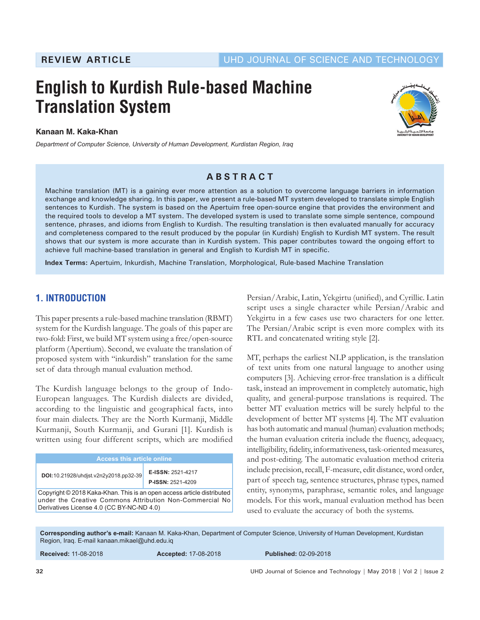# **English to Kurdish Rule-based Machine Translation System**

**Kanaan M. Kaka-Khan**

*Department of Computer Science, University of Human Development, Kurdistan Region, Iraq*



# **ABSTRACT**

Machine translation (MT) is a gaining ever more attention as a solution to overcome language barriers in information exchange and knowledge sharing. In this paper, we present a rule-based MT system developed to translate simple English sentences to Kurdish. The system is based on the Apertuim free open-source engine that provides the environment and the required tools to develop a MT system. The developed system is used to translate some simple sentence, compound sentence, phrases, and idioms from English to Kurdish. The resulting translation is then evaluated manually for accuracy and completeness compared to the result produced by the popular (in Kurdish) English to Kurdish MT system. The result shows that our system is more accurate than in Kurdish system. This paper contributes toward the ongoing effort to achieve full machine-based translation in general and English to Kurdish MT in specific.

**Index Terms:** Apertuim, Inkurdish, Machine Translation, Morphological, Rule-based Machine Translation

# **1. INTRODUCTION**

This paper presents a rule-based machine translation (RBMT) system for the Kurdish language. The goals of this paper are two-fold: First, we build MT system using a free/open-source platform (Apertium). Second, we evaluate the translation of proposed system with "inkurdish" translation for the same set of data through manual evaluation method.

The Kurdish language belongs to the group of Indo-European languages. The Kurdish dialects are divided, according to the linguistic and geographical facts, into four main dialects. They are the North Kurmanji, Middle Kurmanji, South Kurmanji, and Gurani [1]. Kurdish is written using four different scripts, which are modified

| <b>Access this article online</b>                                                                                                                                               |                                               |  |  |  |
|---------------------------------------------------------------------------------------------------------------------------------------------------------------------------------|-----------------------------------------------|--|--|--|
| DOI: 10.21928/uhdist.v2n2y2018.pp32-39                                                                                                                                          | E-ISSN: 2521-4217<br><b>P-ISSN: 2521-4209</b> |  |  |  |
| Copyright © 2018 Kaka-Khan. This is an open access article distributed<br>under the Creative Commons Attribution Non-Commercial No<br>Derivatives License 4.0 (CC BY-NC-ND 4.0) |                                               |  |  |  |

Persian/Arabic, Latin, Yekgirtu (unified), and Cyrillic. Latin script uses a single character while Persian/Arabic and Yekgirtu in a few cases use two characters for one letter. The Persian/Arabic script is even more complex with its RTL and concatenated writing style [2].

MT, perhaps the earliest NLP application, is the translation of text units from one natural language to another using computers [3]. Achieving error-free translation is a difficult task, instead an improvement in completely automatic, high quality, and general-purpose translations is required. The better MT evaluation metrics will be surely helpful to the development of better MT systems [4]. The MT evaluation has both automatic and manual (human) evaluation methods; the human evaluation criteria include the fluency, adequacy, intelligibility, fidelity, informativeness, task-oriented measures, and post-editing. The automatic evaluation method criteria include precision, recall, F-measure, edit distance, word order, part of speech tag, sentence structures, phrase types, named entity, synonyms, paraphrase, semantic roles, and language models. For this work, manual evaluation method has been used to evaluate the accuracy of both the systems.

**Corresponding author's e-mail:** Kanaan M. Kaka-Khan, Department of Computer Science, University of Human Development, Kurdistan Region, Iraq. E-mail kanaan.mikael@uhd.edu.iq

**Received:** 11-08-2018 **Accepted:** 17-08-2018 **Published:** 02-09-2018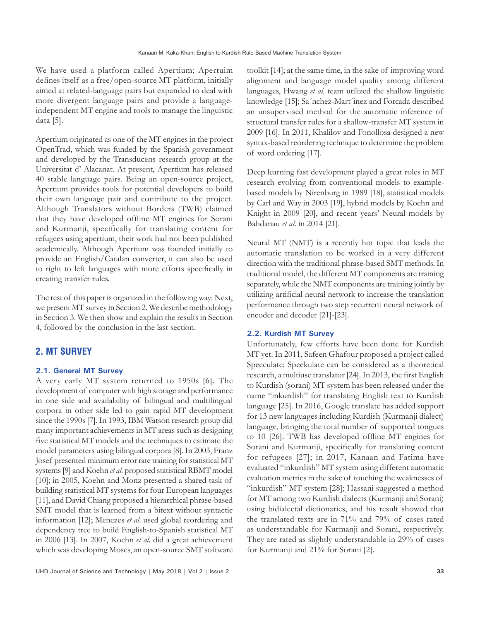We have used a platform called Apertium; Apertuim defines itself as a free/open-source MT platform, initially aimed at related-language pairs but expanded to deal with more divergent language pairs and provide a languageindependent MT engine and tools to manage the linguistic data [5].

Apertium originated as one of the MT engines in the project OpenTrad, which was funded by the Spanish government and developed by the Transducens research group at the Universitat d' Alacanat. At present, Apertium has released 40 stable language pairs. Being an open-source project, Apertium provides tools for potential developers to build their own language pair and contribute to the project. Although Translators without Borders (TWB) claimed that they have developed offline MT engines for Sorani and Kurmanji, specifically for translating content for refugees using apertium, their work had not been published academically. Although Apertium was founded initially to provide an English/Catalan converter, it can also be used to right to left languages with more efforts specifically in creating transfer rules.

The rest of this paper is organized in the following way: Next, we present MT survey in Section 2. We describe methodology in Section 3. We then show and explain the results in Section 4, followed by the conclusion in the last section.

# **2. MT SURVEY**

#### **2.1. General MT Survey**

A very early MT system returned to 1950s [6]. The development of computer with high storage and performance in one side and availability of bilingual and multilingual corpora in other side led to gain rapid MT development since the 1990s [7]. In 1993, IBM Watson research group did many important achievements in MT areas such as designing five statistical MT models and the techniques to estimate the model parameters using bilingual corpora [8]. In 2003, Franz Josef presented minimum error rate training for statistical MT systems [9] and Koehn *et al*. proposed statistical RBMT model [10]; in 2005, Koehn and Monz presented a shared task of building statistical MT systems for four European languages [11], and David Chiang proposed a hierarchical phrase-based SMT model that is learned from a bitext without syntactic information [12]; Menezes *et al*. used global reordering and dependency tree to build English-to-Spanish statistical MT in 2006 [13]. In 2007, Koehn *et al*. did a great achievement which was developing Moses, an open-source SMT software

toolkit [14]; at the same time, in the sake of improving word alignment and language model quality among different languages, Hwang *et al*. team utilized the shallow linguistic knowledge [15]; Sa´nchez-Mart´inez and Forcada described an unsupervised method for the automatic inference of structural transfer rules for a shallow-transfer MT system in 2009 [16]. In 2011, Khalilov and Fonollosa designed a new syntax-based reordering technique to determine the problem of word ordering [17].

Deep learning fast development played a great roles in MT research evolving from conventional models to examplebased models by Nirenburg in 1989 [18], statistical models by Carl and Way in 2003 [19], hybrid models by Koehn and Knight in 2009 [20], and recent years' Neural models by Bahdanau *et al*. in 2014 [21].

Neural MT (NMT) is a recently hot topic that leads the automatic translation to be worked in a very different direction with the traditional phrase-based SMT methods. In traditional model, the different MT components are training separately, while the NMT components are training jointly by utilizing artificial neural network to increase the translation performance through two step recurrent neural network of encoder and decoder [21]-[23].

# **2.2. Kurdish MT Survey**

Unfortunately, few efforts have been done for Kurdish MT yet. In 2011, Safeen Ghafour proposed a project called Speeculate; Speekulate can be considered as a theoretical research, a multiuse translator [24]. In 2013, the first English to Kurdish (sorani) MT system has been released under the name "inkurdish" for translating English text to Kurdish language [25]. In 2016, Google translate has added support for 13 new languages including Kurdish (Kurmanji dialect) language, bringing the total number of supported tongues to 10 [26]. TWB has developed offline MT engines for Sorani and Kurmanji, specifically for translating content for refugees [27]; in 2017, Kanaan and Fatima have evaluated "inkurdish" MT system using different automatic evaluation metrics in the sake of touching the weaknesses of "inkurdish" MT system [28]; Hassani suggested a method for MT among two Kurdish dialects (Kurmanji and Sorani) using bidialectal dictionaries, and his result showed that the translated texts are in 71% and 79% of cases rated as understandable for Kurmanji and Sorani, respectively. They are rated as slightly understandable in 29% of cases for Kurmanji and 21% for Sorani [2].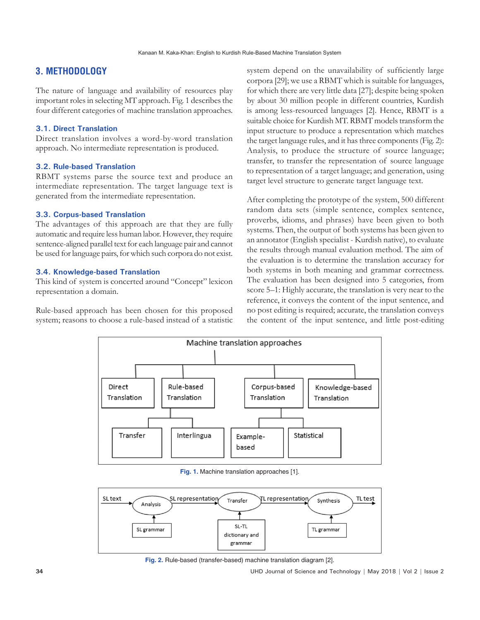# **3. METHODOLOGY**

The nature of language and availability of resources play important roles in selecting MT approach. Fig. 1 describes the four different categories of machine translation approaches.

### **3.1. Direct Translation**

Direct translation involves a word-by-word translation approach. No intermediate representation is produced.

# **3.2. Rule-based Translation**

RBMT systems parse the source text and produce an intermediate representation. The target language text is generated from the intermediate representation.

# **3.3. Corpus-based Translation**

The advantages of this approach are that they are fully automatic and require less human labor. However, they require sentence-aligned parallel text for each language pair and cannot be used for language pairs, for which such corpora do not exist.

# **3.4. Knowledge-based Translation**

This kind of system is concerted around "Concept" lexicon representation a domain.

Rule-based approach has been chosen for this proposed system; reasons to choose a rule-based instead of a statistic system depend on the unavailability of sufficiently large corpora [29]; we use a RBMT which is suitable for languages, for which there are very little data [27]; despite being spoken by about 30 million people in different countries, Kurdish is among less-resourced languages [2]. Hence, RBMT is a suitable choice for Kurdish MT. RBMT models transform the input structure to produce a representation which matches the target language rules, and it has three components (Fig. 2): Analysis, to produce the structure of source language; transfer, to transfer the representation of source language to representation of a target language; and generation, using target level structure to generate target language text.

After completing the prototype of the system, 500 different random data sets (simple sentence, complex sentence, proverbs, idioms, and phrases) have been given to both systems. Then, the output of both systems has been given to an annotator (English specialist - Kurdish native), to evaluate the results through manual evaluation method. The aim of the evaluation is to determine the translation accuracy for both systems in both meaning and grammar correctness. The evaluation has been designed into 5 categories, from score 5–1: Highly accurate, the translation is very near to the reference, it conveys the content of the input sentence, and no post editing is required; accurate, the translation conveys the content of the input sentence, and little post-editing



**Fig. 1.** Machine translation approaches [1].



**Fig. 2.** Rule-based (transfer-based) machine translation diagram [2].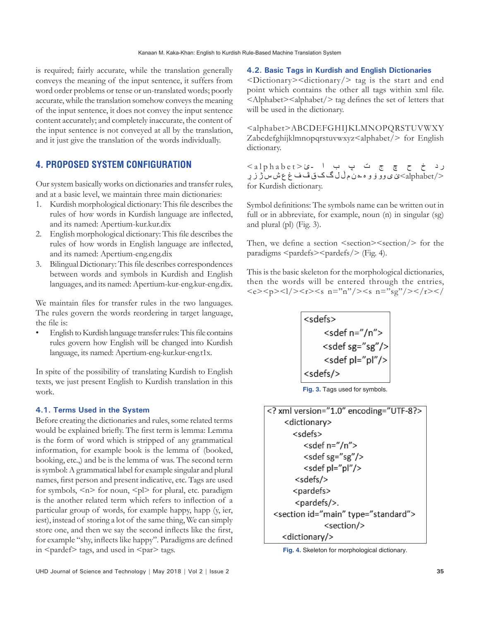is required; fairly accurate, while the translation generally conveys the meaning of the input sentence, it suffers from word order problems or tense or un-translated words; poorly accurate, while the translation somehow conveys the meaning of the input sentence, it does not convey the input sentence content accurately; and completely inaccurate, the content of the input sentence is not conveyed at all by the translation, and it just give the translation of the words individually.

# **4. PROPOSED SYSTEM CONFIGURATION**

Our system basically works on dictionaries and transfer rules, and at a basic level, we maintain three main dictionaries:

- 1. Kurdish morphological dictionary: This file describes the rules of how words in Kurdish language are inflected, and its named: Apertium-kur.kur.dix
- 2. English morphological dictionary: This file describes the rules of how words in English language are inflected, and its named: Apertium-eng.eng.dix
- 3. Bilingual Dictionary: This file describes correspondences between words and symbols in Kurdish and English languages, and its named: Apertium-kur-eng.kur-eng.dix.

We maintain files for transfer rules in the two languages. The rules govern the words reordering in target language, the file is:

• English to Kurdish language transfer rules: This file contains rules govern how English will be changed into Kurdish language, its named: Apertium-eng-kur.kur-eng.t1x.

In spite of the possibility of translating Kurdish to English texts, we just present English to Kurdish translation in this work.

#### **4.1. Terms Used in the System**

Before creating the dictionaries and rules, some related terms would be explained briefly. The first term is lemma: Lemma is the form of word which is stripped of any grammatical information, for example book is the lemma of (booked, booking, etc.,) and be is the lemma of was. The second term is symbol: A grammatical label for example singular and plural names, first person and present indicative, etc. Tags are used for symbols,  $\leq n$  for noun,  $\leq p$  for plural, etc. paradigm is the another related term which refers to inflection of a particular group of words, for example happy, happ (y, ier, iest), instead of storing a lot of the same thing, We can simply store one, and then we say the second inflects like the first, for example "shy, inflects like happy". Paradigms are defined in  $\epsilon$  and tags, and used in  $\epsilon$  par $>$  tags.

**4.2. Basic Tags in Kurdish and English Dictionaries**

 $\langle$ Dictionary $\rangle$   $\langle$ dictionary $\rangle$  tag is the start and end point which contains the other all tags within xml file. <Alphabet><alphabet/> tag defines the set of letters that will be used in the dictionary.

<alphabet>ABCDEFGHIJKLMNOPQRSTUVWXY Zabcdefghijklmnopqrstuvwxyz<alphabet/> for English dictionary.

 ر د خ ح چ ج ت پ ب ا ـئ <alphabet<  $\mathbb{C}$ ی ی وو ۆ و ه ـه ن م ڵ ل گ ک ق ڤ ف غ ع ش س ژ ز ر $\mathrm{alpha bet} /\!>$ for Kurdish dictionary.

Symbol definitions: The symbols name can be written out in full or in abbreviate, for example, noun (n) in singular (sg) and plural (pl) (Fig. 3).

Then, we define a section  $\leq$  section $\geq$  section $\geq$  for the paradigms <pardefs><pardefs/> (Fig. 4).

This is the basic skeleton for the morphological dictionaries, then the words will be entered through the entries,  $\langle e \rangle \langle p \rangle \langle 1/ \rangle \langle r \rangle \langle s \ n = "n" / \rangle \langle s \ n = "sg" / \rangle \langle r \rangle \langle r \rangle$ 



**Fig. 3.** Tags used for symbols.

| xml version="1.0" encoding="UTF-8?            |
|-----------------------------------------------|
| <dictionary></dictionary>                     |
| <sdefs></sdefs>                               |
| <sdef n="/n"></sdef>                          |
| <sdef sg="sg"></sdef>                         |
| <sdef pl="pl"></sdef>                         |
| <sdefs></sdefs>                               |
| <pardefs></pardefs>                           |
| <pardefs></pardefs> .                         |
| <section id="main" type="standard"></section> |
| <section></section>                           |
| <dictionary></dictionary>                     |

**Fig. 4.** Skeleton for morphological dictionary.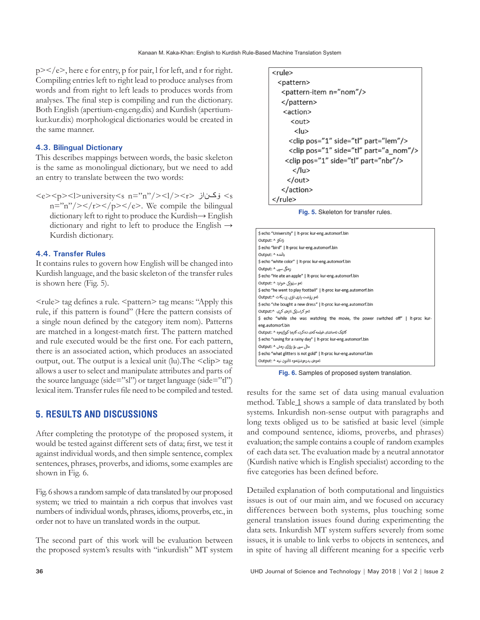$p$  >  $\lt$ /e >, here e for entry, p for pair, l for left, and r for right. Compiling entries left to right lead to produce analyses from words and from right to left leads to produces words from analyses. The final step is compiling and run the dictionary. Both English (apertium-eng.eng.dix) and Kurdish (apertiumkur.kur.dix) morphological dictionaries would be created in the same manner.

### **4.3. Bilingual Dictionary**

This describes mappings between words, the basic skeleton is the same as monolingual dictionary, but we need to add an entry to translate between the two words:

<e><p><l>university<s n="n"/><l/><r> ۆکناز> s  $n = \frac{m''}{8}$  /></p>>>/p></e>. We compile the bilingual dictionary left to right to produce the Kurdish→ English dictionary and right to left to produce the English  $\rightarrow$ Kurdish dictionary.

#### **4.4. Transfer Rules**

It contains rules to govern how English will be changed into Kurdish language, and the basic skeleton of the transfer rules is shown here (Fig. 5).

<rule> tag defines a rule. <pattern> tag means: "Apply this rule, if this pattern is found" (Here the pattern consists of a single noun defined by the category item nom). Patterns are matched in a longest-match first. The pattern matched and rule executed would be the first one. For each pattern, there is an associated action, which produces an associated output, out. The output is a lexical unit (lu). The  $\langle$ clip $\rangle$  tag allows a user to select and manipulate attributes and parts of the source language (side="sl") or target language (side="tl") lexical item. Transfer rules file need to be compiled and tested.

# **5. RESULTS AND DISCUSSIONS**

After completing the prototype of the proposed system, it would be tested against different sets of data; first, we test it against individual words, and then simple sentence, complex sentences, phrases, proverbs, and idioms, some examples are shown in Fig. 6.

Fig. 6 shows a random sample of data translated by our proposed system; we tried to maintain a rich corpus that involves vast numbers of individual words, phrases, idioms, proverbs, etc., in order not to have un translated words in the output.

The second part of this work will be evaluation between the proposed system's results with "inkurdish" MT system

| <rule></rule>                                |
|----------------------------------------------|
| <pattern></pattern>                          |
| <pattern-item n="nom"></pattern-item>        |
|                                              |
| <action></action>                            |
| <out></out>                                  |
| <lu></lu>                                    |
| <clip part="lem" pos="1" side="tl"></clip>   |
| <clip part="a_nom" pos="1" side="tl"></clip> |
| <clip part="nbr" pos="1" side="tl"></clip>   |
|                                              |
|                                              |
|                                              |
|                                              |

**Fig. 5.** Skeleton for transfer rules.

| \$ echo "University"   It-proc kur-eng.automorf.bin                               |
|-----------------------------------------------------------------------------------|
| زانكة ^ :Output                                                                   |
| \$ echo "bird"   It-proc kur-eng.automorf.bin                                     |
| بالْنده ^ :Output                                                                 |
| \$ echo "white color"   It-proc kur-eng.automorf.bin                              |
| رەنگى سىي ^ :Output                                                               |
| \$ echo "He ate an apple"   It-proc kur-eng.automorf.bin                          |
| ئەو سێونکى خوارد ^ :Output                                                        |
| \$ echo "he went to play football"   It-proc kur-eng.automorf.bin                 |
| ئەو رۆشت يارى تۆپى پى بكات ^:Output                                               |
| \$ echo "she bought a new dress"   It-proc kur-eng.automorf.bin                   |
| ئەو كراسٽكى تازەي كرى   ^:Output                                                  |
| \$ echo "while she was watching the movie, the power switched off"   It-proc kur- |
| eng.automorf.bin                                                                  |
| کاتئک تەماشای فیلمەکەی دەکرد، کارەبا کوژاپەوە ^ :Output                           |
| \$ echo "saving for a rainy day"   It-proc kur-eng.automorf.bin                   |
| مائی سپی بۆ رۆژی رەش ^ :Output                                                    |
| \$ echo "what glitters is not gold"   It-proc kur-eng.automorf.bin                |
| ئەوەي بىرەوشتتەوە ئاٽتون نىه ^ :Output                                            |
|                                                                                   |

**Fig. 6.** Samples of proposed system translation.

results for the same set of data using manual evaluation method. Table 1 shows a sample of data translated by both systems. Inkurdish non-sense output with paragraphs and long texts obliged us to be satisfied at basic level (simple and compound sentence, idioms, proverbs, and phrases) evaluation; the sample contains a couple of random examples of each data set. The evaluation made by a neutral annotator (Kurdish native which is English specialist) according to the five categories has been defined before.

Detailed explanation of both computational and linguistics issues is out of our main aim, and we focused on accuracy differences between both systems, plus touching some general translation issues found during experimenting the data sets. Inkurdish MT system suffers severely from some issues, it is unable to link verbs to objects in sentences, and in spite of having all different meaning for a specific verb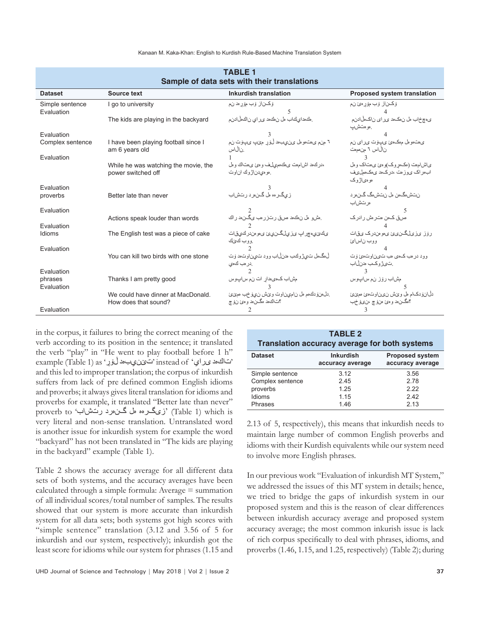Kanaan M. Kaka-Khan: English to Kurdish Rule-Based Machine Translation System

| Sample of data sets with their translations |                                                            |                                                                        |                                                                            |  |  |
|---------------------------------------------|------------------------------------------------------------|------------------------------------------------------------------------|----------------------------------------------------------------------------|--|--|
| <b>Dataset</b>                              | Source text                                                | <b>Inkurdish translation</b>                                           | <b>Proposed system translation</b>                                         |  |  |
| Simple sentence<br>Evaluation               | I go to university                                         | ۆكىناز ۆب مۆرەد نم                                                     | وكــناز وب مۆرەئ نم                                                        |  |  |
|                                             | The kids are playing in the backyard                       | ِ هٰذهداي كَاب هل نهكهد ي راي ناكملْ ادنم                              | ى،چخاب مل ن،ك،د ىر اى ناك،لاادنم<br>ِ هو هٽش ب                             |  |  |
| Evaluation                                  |                                                            |                                                                        |                                                                            |  |  |
| Complex sentence                            | I have been playing football since I<br>am 6 years old     | ٦ منء ي،ت،ومل ين،يب،د ڵوَرِر مِيْپ يپوٽ نِم<br>ن ال اس                 | ى مت مو مل م مك مئ ى بوت ى راى ن م<br>نالاس ٦ من ممات                      |  |  |
| Evaluation                                  |                                                            |                                                                        |                                                                            |  |  |
|                                             | While he was watching the movie, the<br>power switched off | ،در كءد اشام مت ى هك مصلف و مئ ى متاك و مل<br>ِ مو مىدن\ژوك ان وت      | یاشام،ت (مکمروک)و مئ ی،تاک و مل<br>اب در اک ی و ز مت ،در ک دد ی مک ممل ی ف |  |  |
|                                             |                                                            |                                                                        | ەو ەي(ژوك                                                                  |  |  |
| Evaluation                                  |                                                            |                                                                        |                                                                            |  |  |
| proverbs                                    | Better late than never                                     | زيگرهه مل گن هرد رئش اب                                                | ن تش،گەن ەل ن تش،گ گىن ر<br>ەر ئىش اب                                      |  |  |
| Evaluation                                  |                                                            |                                                                        |                                                                            |  |  |
| Evaluation                                  | Actions speak louder than words                            | ِ مِشْ و مِلْ نِ مِكْ هِ مِسْقِ رِ سَرْ رِ مِبْ يِكْـِنْ هِ رِ اِكْ    | مس قکمن متر مش رادر ک                                                      |  |  |
| Idioms                                      | The English test was a piece of cake                       | ىكى يىمچراپ ىز يىلگىنىئ ى مومندركىي قات<br>و و ب كى ك                  | ر ۆز ئرىلگىن ئى ئى مورىندرك ئىقات<br>ووب ناسائ                             |  |  |
| Evaluation                                  |                                                            |                                                                        |                                                                            |  |  |
|                                             | You can kill two birds with one stone                      | ڵۥڲؙۜۜۜۜۜۜۿڵ ت۞ۣڙوڬب مدنڵاب وود تيناوت،د و٘ت<br>در مب كءى              | وو د در مب کءی مب ت ین او تءئ و ت<br>ِتَىَرْ وكب مدنلْاب                   |  |  |
| Evaluation                                  |                                                            |                                                                        |                                                                            |  |  |
| phrases<br>Evaluation                       | Thanks I am pretty good                                    | مشاب كءيءدار ات نم ساپوس                                               | مشاب رۆز نىم ساپوس                                                         |  |  |
|                                             | We could have dinner at MacDonald.<br>How does that sound? | دل،نوردك،م مل ناميناوت وي ش نيوفيب ممينيّ<br>؟ن اك د مگـن.د و مئ نوْ چ | دل انودك ام مل ويخش نيمن او تءئ مويزئ<br>؟هگـــن٥د و هئ هنوَ چ ،ن٤قرخب     |  |  |
| Evaluation                                  |                                                            |                                                                        |                                                                            |  |  |

| <b>TABLE 1</b> |                                             |  |  |  |
|----------------|---------------------------------------------|--|--|--|
|                | Sample of data sets with their translations |  |  |  |

in the corpus, it failures to bring the correct meaning of the verb according to its position in the sentence; it translated the verb "play" in "He went to play football before 1 h" example (Table 1) as ''ت تين ي ب هد لغور نيه اي تاك تاك تاكىد ى لور اي and this led to improper translation; the corpus of inkurdish suffers from lack of pre defined common English idioms and proverbs; it always gives literal translation for idioms and proverbs for example, it translated "Better late than never" proverb to 'رتشاب گنەرد ەل زیگرەه) 'Table 1) which is very literal and non-sense translation. Untranslated word is another issue for inkurdish system for example the word "backyard" has not been translated in "The kids are playing in the backyard" example (Table 1).

Table 2 shows the accuracy average for all different data sets of both systems, and the accuracy averages have been calculated through a simple formula: Average = summation of all individual scores/total number of samples. The results showed that our system is more accurate than inkurdish system for all data sets; both systems got high scores with "simple sentence" translation (3.12 and 3.56 of 5 for inkurdish and our system, respectively); inkurdish got the least score for idioms while our system for phrases (1.15 and

| Translation accuracy average for both systems |                                      |                                            |  |  |
|-----------------------------------------------|--------------------------------------|--------------------------------------------|--|--|
| <b>Dataset</b>                                | <b>Inkurdish</b><br>accuracy average | <b>Proposed system</b><br>accuracy average |  |  |
| Simple sentence                               | 3.12                                 | 3.56                                       |  |  |
| Complex sentence                              | 245                                  | 278                                        |  |  |
| proverbs                                      | 1 25                                 | 222                                        |  |  |
| Idioms                                        | 1.15                                 | 242                                        |  |  |
| Phrases                                       | 1.46                                 | 2 1 3                                      |  |  |

**TABLE 2**

2.13 of 5, respectively), this means that inkurdish needs to maintain large number of common English proverbs and idioms with their Kurdish equivalents while our system need to involve more English phrases.

In our previous work "Evaluation of inkurdish MT System," we addressed the issues of this MT system in details; hence, we tried to bridge the gaps of inkurdish system in our proposed system and this is the reason of clear differences between inkurdish accuracy average and proposed system accuracy average; the most common inkurish issue is lack of rich corpus specifically to deal with phrases, idioms, and proverbs (1.46, 1.15, and 1.25, respectively) (Table 2); during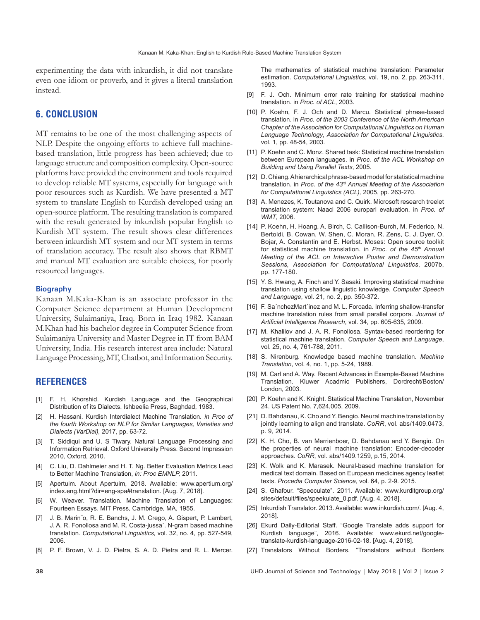experimenting the data with inkurdish, it did not translate even one idiom or proverb, and it gives a literal translation instead.

# **6. CONCLUSION**

MT remains to be one of the most challenging aspects of NLP. Despite the ongoing efforts to achieve full machinebased translation, little progress has been achieved; due to language structure and composition complexity. Open-source platforms have provided the environment and tools required to develop reliable MT systems, especially for language with poor resources such as Kurdish. We have presented a MT system to translate English to Kurdish developed using an open-source platform. The resulting translation is compared with the result generated by inkurdish popular English to Kurdish MT system. The result shows clear differences between inkurdish MT system and our MT system in terms of translation accuracy. The result also shows that RBMT and manual MT evaluation are suitable choices, for poorly resourced languages.

#### **Biography**

Kanaan M.Kaka-Khan is an associate professor in the Computer Science department at Human Development University, Sulaimaniya, Iraq. Born in Iraq 1982. Kanaan M.Khan had his bachelor degree in Computer Science from Sulaimaniya University and Master Degree in IT from BAM University, India. His research interest area include: Natural Language Processing, MT, Chatbot, and Information Security.

#### **REFERENCES**

- [1] F. H. Khorshid. Kurdish Language and the Geographical Distribution of its Dialects. Ishbeelia Press, Baghdad, 1983.
- [2] H. Hassani. Kurdish Interdialect Machine Translation*. in Proc of the fourth Workshop on NLP for Similar Languages, Varieties and Dialects (VarDial),* 2017, pp. 63-72.
- [3] T. Siddiqui and U. S Tiwary. Natural Language Processing and Information Retrieval. Oxford University Press. Second Impression 2010, Oxford, 2010.
- [4] C. Liu, D. Dahlmeier and H. T. Ng. Better Evaluation Metrics Lead to Better Machine Translation, *in: Proc EMNLP,* 2011.
- [5] Apertuim. About Apertuim, 2018. Available: www.apertium.org/ index.eng.html?dir=eng-spa#translation. [Aug. 7, 2018].
- [6] W. Weaver. Translation. Machine Translation of Languages: Fourteen Essays. MIT Press, Cambridge, MA, 1955.
- [7] J. B. Marin˜o, R. E. Banchs, J. M. Crego, A. Gispert, P. Lambert, J. A. R. Fonollosa and M. R. Costa-jussa`. N-gram based machine translation. *Computational Linguistics,* vol. 32, no. 4, pp. 527-549, 2006.
- [8] P. F. Brown, V. J. D. Pietra, S. A. D. Pietra and R. L. Mercer.

The mathematics of statistical machine translation: Parameter estimation. *Computational Linguistics*, vol. 19, no. 2, pp. 263-311, 1993.

- [9] F. J. Och. Minimum error rate training for statistical machine translation. in *Proc. of ACL*, 2003.
- [10] P. Koehn, F. J. Och and D. Marcu. Statistical phrase-based translation. in *Proc. of the 2003 Conference of the North American Chapter of the Association for Computational Linguistics on Human Language Technology*, *Association for Computational Linguistics*. vol. 1, pp. 48-54, 2003.
- [11] P. Koehn and C. Monz. Shared task: Statistical machine translation between European languages. in *Proc. of the ACL Workshop on Building and Using Parallel Texts*, 2005.
- [12] D. Chiang. Ahierarchical phrase-based model for statistical machine translation. in *Proc. of the 43*rd *Annual Meeting of the Association for Computational Linguistics (ACL),* 2005, pp. 263-270.
- [13] A. Menezes, K. Toutanova and C. Quirk. Microsoft research treelet translation system: Naacl 2006 europarl evaluation. in *Proc. of WMT*, 2006.
- [14] P. Koehn, H. Hoang, A. Birch, C. Callison-Burch, M. Federico, N. Bertoldi, B. Cowan, W. Shen, C. Moran, R. Zens, C. J. Dyer, O. Bojar, A. Constantin and E. Herbst. Moses: Open source toolkit for statistical machine translation. in *Proc. of the 45*th *Annual Meeting of the ACL on Interactive Poster and Demonstration Sessions, Association for Computational Linguistics*, 2007b, pp. 177-180.
- [15] Y. S. Hwang, A. Finch and Y. Sasaki. Improving statistical machine translation using shallow linguistic knowledge. *Computer Speech and Language*, vol. 21, no. 2, pp. 350-372.
- [16] F. Sa'nchezMart'inez and M. L. Forcada. Inferring shallow-transfer machine translation rules from small parallel corpora. *Journal of Artificial Intelligence Research*, vol. 34, pp. 605-635, 2009.
- [17] M. Khalilov and J. A. R. Fonollosa. Syntax-based reordering for statistical machine translation. *Computer Speech and Language*, vol. 25, no. 4, 761-788, 2011.
- [18] S. Nirenburg. Knowledge based machine translation. *Machine Translation*, vol. 4, no. 1, pp. 5-24, 1989.
- [19] M. Carl and A. Way. Recent Advances in Example-Based Machine Translation. Kluwer Acadmic Publishers, Dordrecht/Boston/ London, 2003.
- [20] P. Koehn and K. Knight. Statistical Machine Translation, November 24. US Patent No. 7,624,005, 2009.
- [21] D. Bahdanau, K. Cho and Y. Bengio. Neural machine translation by jointly learning to align and translate. *CoRR*, vol. abs/1409.0473, p. 9, 2014.
- [22] K. H. Cho, B. van Merrienboer, D. Bahdanau and Y. Bengio. On the properties of neural machine translation: Encoder-decoder approaches. *CoRR*, vol. abs/1409.1259, p.15, 2014.
- [23] K. Wolk and K. Marasek. Neural-based machine translation for medical text domain. Based on European medicines agency leaflet texts. *Procedia Computer Science*, vol. 64, p. 2-9. 2015.
- [24] S. Ghafour. "Speeculate". 2011. Available: www.kurditgroup.org/ sites/default/files/speekulate\_0.pdf. [Aug. 4, 2018].
- [25] Inkurdish Translator. 2013. Available: www.inkurdish.com/. [Aug. 4, 2018].
- [26] Ekurd Daily-Editorial Staff. "Google Translate adds support for Kurdish language", 2016. Available: www.ekurd.net/googletranslate-kurdish-language-2016-02-18. [Aug. 4, 2018].
- [27] Translators Without Borders. "Translators without Borders